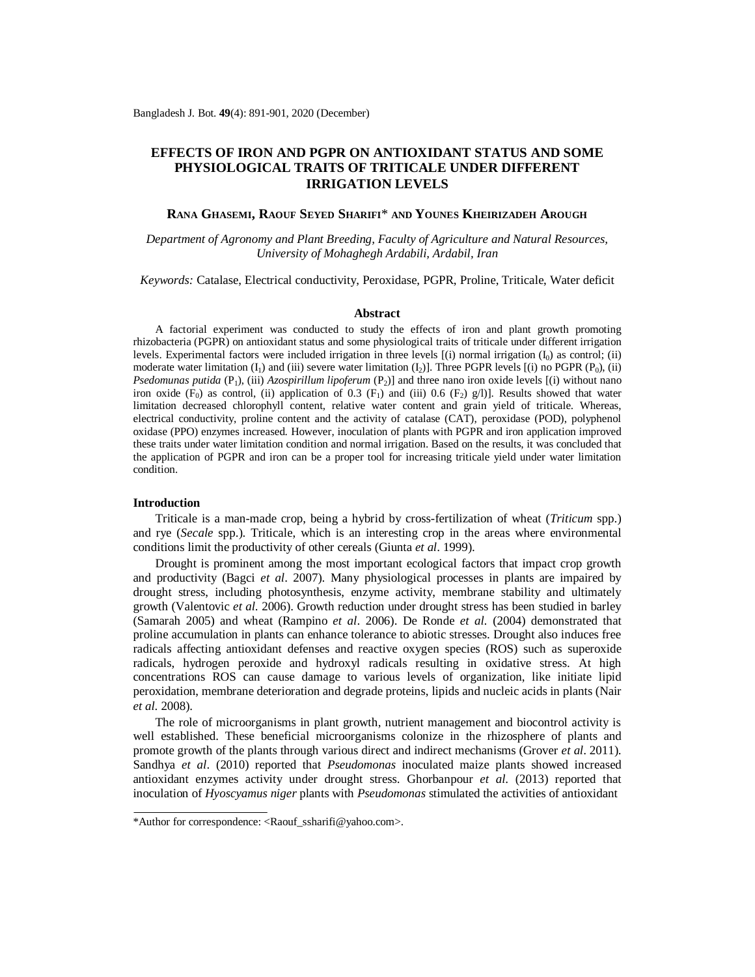# **EFFECTS OF IRON AND PGPR ON ANTIOXIDANT STATUS AND SOME PHYSIOLOGICAL TRAITS OF TRITICALE UNDER DIFFERENT IRRIGATION LEVELS**

# **RANA GHASEMI, RAOUF SEYED SHARIFI**\* **AND YOUNES KHEIRIZADEH AROUGH**

*Department of Agronomy and Plant Breeding, Faculty of Agriculture and Natural Resources, University of Mohaghegh Ardabili, Ardabil, Iran*

*Keywords:* Catalase, Electrical conductivity, Peroxidase, PGPR, Proline, Triticale, Water deficit

#### **Abstract**

A factorial experiment was conducted to study the effects of iron and plant growth promoting rhizobacteria (PGPR) on antioxidant status and some physiological traits of triticale under different irrigation levels. Experimental factors were included irrigation in three levels  $[(i)$  normal irrigation  $(I_0)$  as control;  $(ii)$ moderate water limitation  $(I_1)$  and (iii) severe water limitation  $(I_2)$ ]. Three PGPR levels  $[(i)$  no PGPR  $(P_0)$ , (ii) *Psedomunas putida* (P<sub>1</sub>), (iii) *Azospirillum lipoferum* (P<sub>2</sub>)] and three nano iron oxide levels [(i) without nano iron oxide (F<sub>0</sub>) as control, (ii) application of 0.3 (F<sub>1</sub>) and (iii) 0.6 (F<sub>2</sub>) g/l)]. Results showed that water limitation decreased chlorophyll content, relative water content and grain yield of triticale. Whereas, electrical conductivity, proline content and the activity of catalase (CAT), peroxidase (POD), polyphenol oxidase (PPO) enzymes increased. However, inoculation of plants with PGPR and iron application improved these traits under water limitation condition and normal irrigation. Based on the results, it was concluded that the application of PGPR and iron can be a proper tool for increasing triticale yield under water limitation condition.

# **Introduction**

Triticale is a man-made crop, being a hybrid by cross-fertilization of wheat (*Triticum* spp.) and rye (*Secale* spp.). Triticale, which is an interesting crop in the areas where environmental conditions limit the productivity of other cereals (Giunta *et al*. 1999).

Drought is prominent among the most important ecological factors that impact crop growth and productivity (Bagci *et al*. 2007). Many physiological processes in plants are impaired by drought stress, including photosynthesis, enzyme activity, membrane stability and ultimately growth (Valentovic *et al*. 2006). Growth reduction under drought stress has been studied in barley (Samarah 2005) and wheat (Rampino *et al*. 2006). De Ronde *et al.* (2004) demonstrated that proline accumulation in plants can enhance tolerance to abiotic stresses. Drought also induces free radicals affecting antioxidant defenses and reactive oxygen species (ROS) such as superoxide radicals, hydrogen peroxide and hydroxyl radicals resulting in oxidative stress. At high concentrations ROS can cause damage to various levels of organization, like initiate lipid peroxidation, membrane deterioration and degrade proteins, lipids and nucleic acids in plants (Nair *et al*. 2008).

The role of microorganisms in plant growth, nutrient management and biocontrol activity is well established. These beneficial microorganisms colonize in the rhizosphere of plants and promote growth of the plants through various direct and indirect mechanisms (Grover *et al*. 2011). Sandhya *et al*. (2010) reported that *Pseudomonas* inoculated maize plants showed increased antioxidant enzymes activity under drought stress. Ghorbanpour *et al*. (2013) reported that inoculation of *Hyoscyamus niger* plants with *Pseudomonas* stimulated the activities of antioxidant

<sup>\*</sup>Author for correspondence: [<Raouf\\_ssharifi@yahoo.com](mailto:Raouf_ssharifi@yahoo.com)>.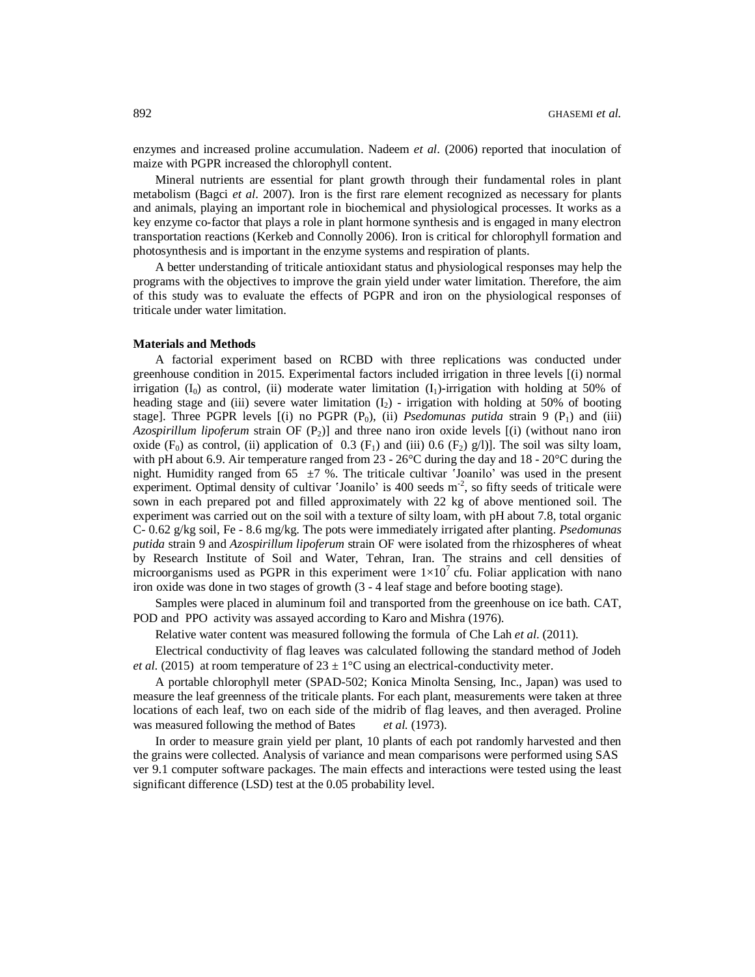enzymes and increased proline accumulation. Nadeem *et al*. (2006) reported that inoculation of maize with PGPR increased the chlorophyll content.

Mineral nutrients are essential for plant growth through their fundamental roles in plant metabolism (Bagci *et al*. 2007). Iron is the first rare element recognized as necessary for plants and animals, playing an important role in biochemical and physiological processes. It works as a key enzyme co-factor that plays a role in plant hormone synthesis and is engaged in many electron transportation reactions (Kerkeb and Connolly 2006). Iron is critical for chlorophyll formation and photosynthesis and is important in the enzyme systems and respiration of plants.

A better understanding of triticale antioxidant status and physiological responses may help the programs with the objectives to improve the grain yield under water limitation. Therefore, the aim of this study was to evaluate the effects of PGPR and iron on the physiological responses of triticale under water limitation.

# **Materials and Methods**

A factorial experiment based on RCBD with three replications was conducted under greenhouse condition in 2015. Experimental factors included irrigation in three levels [(i) normal irrigation (I<sub>0</sub>) as control, (ii) moderate water limitation (I<sub>1</sub>)-irrigation with holding at 50% of heading stage and (iii) severe water limitation  $(I_2)$  - irrigation with holding at 50% of booting stage]. Three PGPR levels  $[(i)$  no PGPR  $(P_0)$ ,  $(ii)$  *Psedomunas putida* strain 9  $(P_1)$  and  $(iii)$ *Azospirillum lipoferum* strain OF (P2)] and three nano iron oxide levels [(i) (without nano iron oxide  $(F_0)$  as control, (ii) application of 0.3  $(F_1)$  and (iii) 0.6  $(F_2)$  g/l)]. The soil was silty loam, with pH about 6.9. Air temperature ranged from  $23 - 26^{\circ}$ C during the day and  $18 - 20^{\circ}$ C during the night. Humidity ranged from 65  $\pm$ 7 %. The triticale cultivar 'Joanilo' was used in the present experiment. Optimal density of cultivar 'Joanilo' is 400 seeds  $m<sup>-2</sup>$ , so fifty seeds of triticale were sown in each prepared pot and filled approximately with 22 kg of above mentioned soil. The experiment was carried out on the soil with a texture of silty loam, with pH about 7.8, total organic C- 0.62 g/kg soil, Fe - 8.6 mg/kg. The pots were immediately irrigated after planting. *Psedomunas putida* strain 9 and *Azospirillum lipoferum* strain OF were isolated from the rhizospheres of wheat by Research Institute of Soil and Water, Tehran, Iran. The strains and cell densities of microorganisms used as PGPR in this experiment were  $1\times10^7$  cfu. Foliar application with nano iron oxide was done in two stages of growth (3 - 4 leaf stage and before booting stage).

Samples were placed in aluminum foil and transported from the greenhouse on ice bath*.* CAT, POD and PPO activity was assayed according to Karo and Mishra (1976).

Relative water content was measured following the formula of Che Lah *et al*. (2011).

Electrical conductivity of flag leaves was calculated following the standard method of Jodeh *et al.* (2015) at room temperature of  $23 \pm 1$ °C using an electrical-conductivity meter.

A portable chlorophyll meter (SPAD-502; Konica Minolta Sensing, Inc., Japan) was used to measure the leaf greenness of the triticale plants. For each plant, measurements were taken at three locations of each leaf, two on each side of the midrib of flag leaves, and then averaged. Proline was measured following the method of Bates *et al.* (1973).

In order to measure grain yield per plant, 10 plants of each pot randomly harvested and then the grains were collected. Analysis of variance and mean comparisons were performed using SAS ver 9.1 computer software packages. The main effects and interactions were tested using the least significant difference (LSD) test at the 0.05 probability level.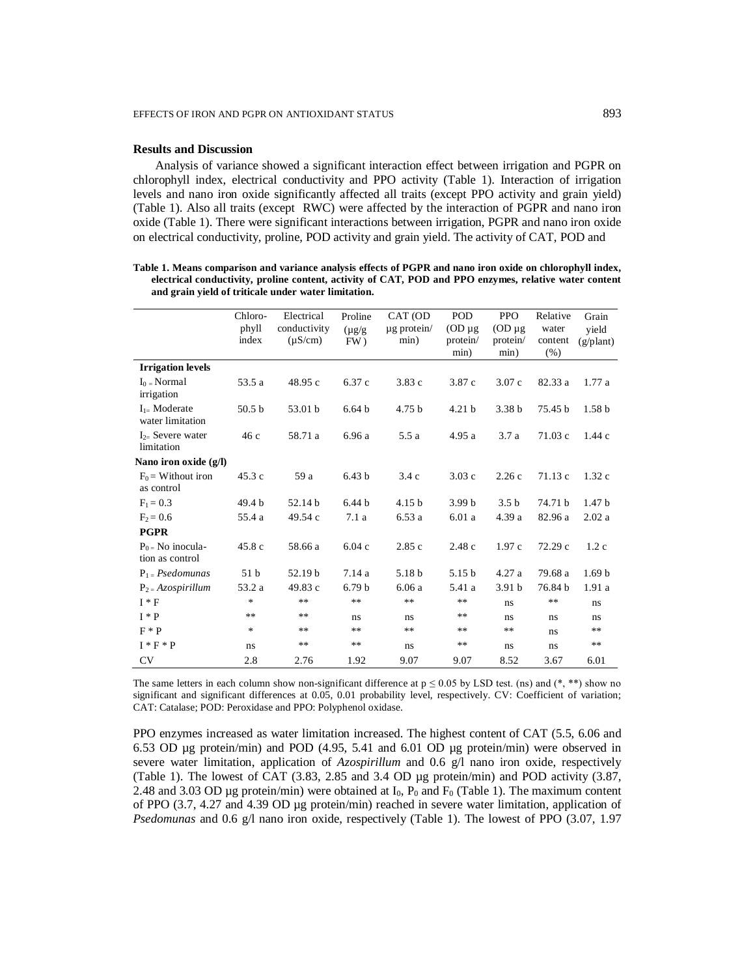### **Results and Discussion**

Analysis of variance showed a significant interaction effect between irrigation and PGPR on chlorophyll index, electrical conductivity and PPO activity (Table 1). Interaction of irrigation levels and nano iron oxide significantly affected all traits (except PPO activity and grain yield) (Table 1). Also all traits (except RWC) were affected by the interaction of PGPR and nano iron oxide (Table 1). There were significant interactions between irrigation, PGPR and nano iron oxide on electrical conductivity, proline, POD activity and grain yield. The activity of CAT, POD and

**Table 1. Means comparison and variance analysis effects of PGPR and nano iron oxide on chlorophyll index, electrical conductivity, proline content, activity of CAT, POD and PPO enzymes, relative water content and grain yield of triticale under water limitation.**

|                                        | Chloro-<br>phyll<br>index | Electrical<br>conductivity<br>$(\mu S/cm)$ | Proline<br>$(\mu g/g)$<br>FW) | CAT (OD<br>$\mu$ g protein/<br>min) | <b>POD</b><br>$OD \mu g$<br>protein/<br>min) | <b>PPO</b><br>$OD \mu g$<br>protein/<br>min) | Relative<br>water<br>content<br>(% ) | Grain<br>vield<br>$(g/\text{plant})$ |
|----------------------------------------|---------------------------|--------------------------------------------|-------------------------------|-------------------------------------|----------------------------------------------|----------------------------------------------|--------------------------------------|--------------------------------------|
| <b>Irrigation levels</b>               |                           |                                            |                               |                                     |                                              |                                              |                                      |                                      |
| $I_0$ = Normal<br>irrigation           | 53.5 a                    | 48.95 c                                    | 6.37 c                        | 3.83c                               | 3.87c                                        | 3.07c                                        | 82.33 a                              | 1.77a                                |
| $I_{1}$ Moderate<br>water limitation   | 50.5 <sub>b</sub>         | 53.01 b                                    | 6.64 <sub>b</sub>             | 4.75 <sub>b</sub>                   | 4.21 <sub>b</sub>                            | 3.38 <sub>b</sub>                            | 75.45 b                              | 1.58 <sub>b</sub>                    |
| $I_{2}$ Severe water<br>limitation     | 46c                       | 58.71 a                                    | 6.96a                         | 5.5a                                | 4.95a                                        | 3.7a                                         | 71.03c                               | 1.44c                                |
| Nano iron oxide (g/l)                  |                           |                                            |                               |                                     |                                              |                                              |                                      |                                      |
| $F_0$ = Without iron<br>as control     | 45.3c                     | 59 a                                       | 6.43 <sub>b</sub>             | 3.4c                                | 3.03c                                        | 2.26c                                        | 71.13c                               | 1.32c                                |
| $F_1 = 0.3$                            | 49.4 b                    | 52.14 b                                    | 6.44 <sub>b</sub>             | 4.15 <sub>b</sub>                   | 3.99 <sub>b</sub>                            | 3.5 <sub>b</sub>                             | 74.71 b                              | 1.47 <sub>b</sub>                    |
| $F_2 = 0.6$                            | 55.4 a                    | 49.54 c                                    | 7.1a                          | 6.53a                               | 6.01a                                        | 4.39 a                                       | 82.96 a                              | 2.02a                                |
| <b>PGPR</b>                            |                           |                                            |                               |                                     |                                              |                                              |                                      |                                      |
| $P_0$ = No inocula-<br>tion as control | 45.8 c                    | 58.66 a                                    | 6.04c                         | 2.85c                               | 2.48c                                        | 1.97c                                        | 72.29c                               | 1.2c                                 |
| $P_1 = P$ sedomunas                    | 51 <sub>b</sub>           | 52.19 b                                    | 7.14a                         | 5.18 b                              | 5.15 <sub>b</sub>                            | 4.27a                                        | 79.68 a                              | 1.69 <sub>b</sub>                    |
| $P_2 = Azospirillum$                   | 53.2 a                    | 49.83 c                                    | 6.79 <sub>b</sub>             | 6.06a                               | 5.41 a                                       | 3.91 <sub>b</sub>                            | 76.84 b                              | 1.91a                                |
| $I * F$                                | *                         | **                                         | **                            | $**$                                | $**$                                         | ns                                           | $***$                                | ns                                   |
| $I * P$                                | **                        | **                                         | ns                            | ns                                  | **                                           | ns                                           | ns                                   | ns                                   |
| $F * P$                                | *                         | **                                         | **                            | **                                  | $**$                                         | $**$                                         | ns                                   | $**$                                 |
| $I * F * P$                            | ns                        | **                                         | **                            | ns                                  | $***$                                        | ns                                           | ns                                   | **                                   |
| <b>CV</b>                              | 2.8                       | 2.76                                       | 1.92                          | 9.07                                | 9.07                                         | 8.52                                         | 3.67                                 | 6.01                                 |

The same letters in each column show non-significant difference at  $p \le 0.05$  by LSD test. (ns) and (\*, \*\*) show no significant and significant differences at 0.05, 0.01 probability level, respectively. CV: Coefficient of variation; CAT: Catalase; POD: Peroxidase and PPO: Polyphenol oxidase.

PPO enzymes increased as water limitation increased. The highest content of CAT (5.5, 6.06 and 6.53 OD µg protein/min) and POD (4.95, 5.41 and 6.01 OD µg protein/min) were observed in severe water limitation, application of *Azospirillum* and 0.6 g/l nano iron oxide, respectively (Table 1). The lowest of CAT (3.83, 2.85 and 3.4 OD µg protein/min) and POD activity (3.87, 2.48 and 3.03 OD µg protein/min) were obtained at  $I_0$ ,  $P_0$  and  $F_0$  (Table 1). The maximum content of PPO (3.7, 4.27 and 4.39 OD µg protein/min) reached in severe water limitation, application of *Psedomunas* and 0.6 g/l nano iron oxide, respectively (Table 1). The lowest of PPO (3.07, 1.97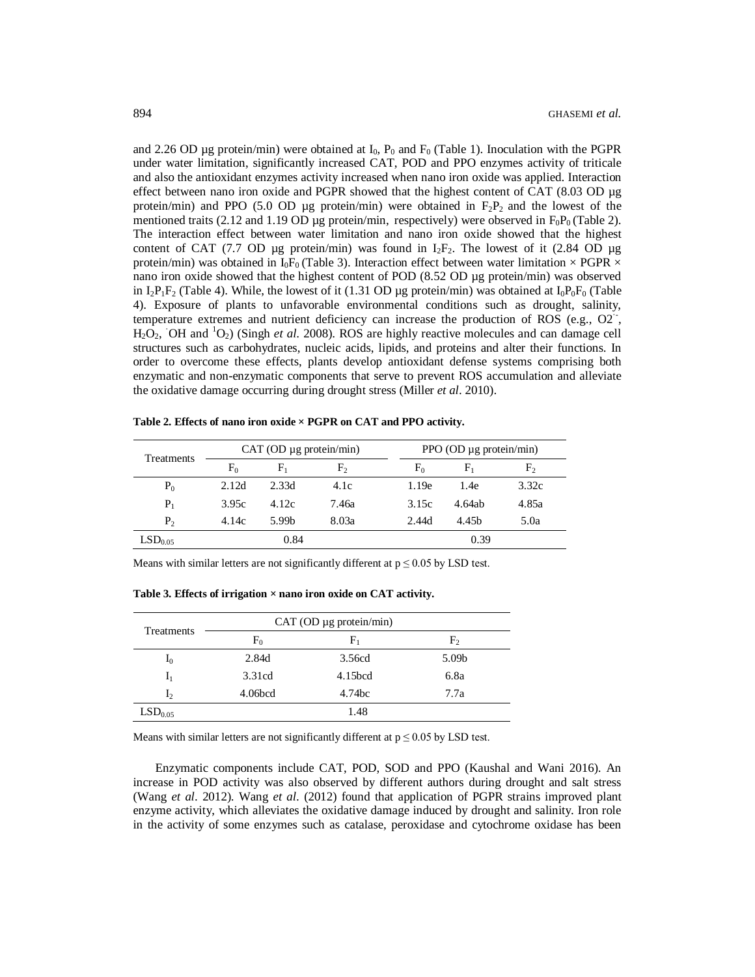and 2.26 OD µg protein/min) were obtained at  $I_0$ ,  $P_0$  and  $F_0$  (Table 1). Inoculation with the PGPR under water limitation, significantly increased CAT, POD and PPO enzymes activity of triticale and also the antioxidant enzymes activity increased when nano iron oxide was applied. Interaction effect between nano iron oxide and PGPR showed that the highest content of CAT (8.03 OD µg protein/min) and PPO (5.0 OD µg protein/min) were obtained in  $F_2P_2$  and the lowest of the mentioned traits (2.12 and 1.19 OD µg protein/min, respectively) were observed in  $F_0P_0$  (Table 2). The interaction effect between water limitation and nano iron oxide showed that the highest content of CAT (7.7 OD µg protein/min) was found in  $I_2F_2$ . The lowest of it (2.84 OD µg protein/min) was obtained in I<sub>0</sub>F<sub>0</sub> (Table 3). Interaction effect between water limitation  $\times$  PGPR  $\times$ nano iron oxide showed that the highest content of POD (8.52 OD µg protein/min) was observed in  $I_2P_1F_2$  (Table 4). While, the lowest of it (1.31 OD µg protein/min) was obtained at  $I_0P_0F_0$  (Table 4). Exposure of plants to unfavorable environmental conditions such as drought, salinity, temperature extremes and nutrient deficiency can increase the production of ROS (e.g., O2<sup>--</sup>,  $H_2O_2$ , OH and  ${}^{1}O_2$ ) (Singh *et al.* 2008). ROS are highly reactive molecules and can damage cell structures such as carbohydrates, nucleic acids, lipids, and proteins and alter their functions. In order to overcome these effects, plants develop antioxidant defense systems comprising both enzymatic and non-enzymatic components that serve to prevent ROS accumulation and alleviate the oxidative damage occurring during drought stress (Miller *et al*. 2010).

| Treatments          | CAT (OD µg protein/min) |                   |                | PPO (OD $\mu$ g protein/min) |       |        |             |
|---------------------|-------------------------|-------------------|----------------|------------------------------|-------|--------|-------------|
|                     | $F_0$                   | ${\rm F_1}$       | F <sub>2</sub> |                              | $F_0$ | F,     | ${\rm F_2}$ |
| $P_0$               | 2.12d                   | 2.33d             | 4.1c           |                              | 1.19e | 1.4e   | 3.32c       |
| $P_1$               | 3.95c                   | 4.12c             | 7.46а          |                              | 3.15c | 4.64ab | 4.85a       |
| P <sub>2</sub>      | 4.14c                   | 5.99 <sub>b</sub> | 8.03a          |                              | 2.44d | 4.45h  | 5.0a        |
| LSD <sub>0.05</sub> | 0.84                    |                   | 0.39           |                              |       |        |             |

**Table 2. Effects of nano iron oxide × PGPR on CAT and PPO activity.**

Means with similar letters are not significantly different at  $p \le 0.05$  by LSD test.

**Table 3. Effects of irrigation × nano iron oxide on CAT activity.**

| <b>Treatments</b>   |                     | CAT (OD µg protein/min) |                |
|---------------------|---------------------|-------------------------|----------------|
|                     | F <sub>0</sub>      | $\rm F_{1}$             | F <sub>2</sub> |
| $I_0$               | 2.84d               | 3.56cd                  | 5.09b          |
| $I_1$               | 3.31cd              | 4.15 <sub>bcd</sub>     | 6.8a           |
| I <sub>2</sub>      | 4.06 <sub>bcd</sub> | 4.74bc                  | 7.7a           |
| LSD <sub>0.05</sub> |                     | 1.48                    |                |

Means with similar letters are not significantly different at  $p \le 0.05$  by LSD test.

Enzymatic components include CAT, POD, SOD and PPO (Kaushal and Wani 2016). An increase in POD activity was also observed by different authors during drought and salt stress (Wang *et al*. 2012). Wang *et al*. (2012) found that application of PGPR strains improved plant enzyme activity, which alleviates the oxidative damage induced by drought and salinity. Iron role in the activity of some enzymes such as catalase, peroxidase and cytochrome oxidase has been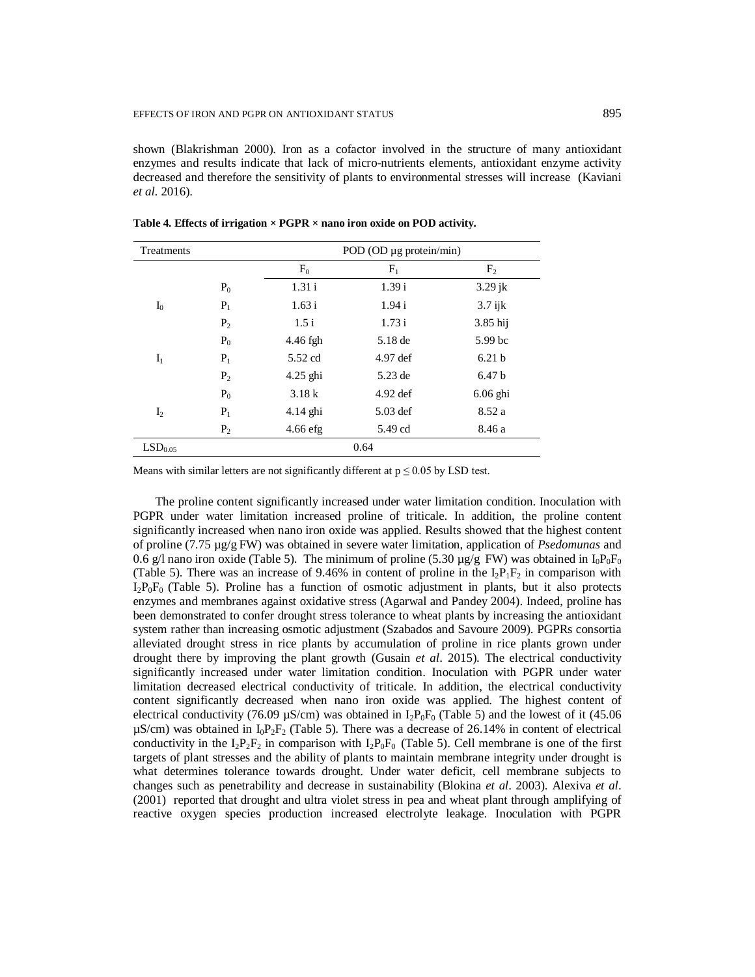shown (Blakrishman 2000). Iron as a cofactor involved in the structure of many antioxidant enzymes and results indicate that lack of micro-nutrients elements, antioxidant enzyme activity decreased and therefore the sensitivity of plants to environmental stresses will increase (Kaviani *et al*. 2016).

| Treatments          |                | POD (OD µg protein/min) |            |                   |  |  |
|---------------------|----------------|-------------------------|------------|-------------------|--|--|
|                     |                | $F_0$                   | $F_1$      | F <sub>2</sub>    |  |  |
|                     | $P_0$          | 1.31i                   | 1.39 i     | $3.29$ jk         |  |  |
| $I_0$               | $P_1$          | 1.63 i                  | 1.94i      | $3.7$ ijk         |  |  |
|                     | $P_2$          | 1.5i                    | 1.73 i     | $3.85$ hij        |  |  |
|                     | $P_0$          | 4.46 fgh                | $5.18$ de  | 5.99 bc           |  |  |
| $I_1$               | $P_1$          | 5.52 cd                 | 4.97 def   | 6.21 <sub>b</sub> |  |  |
|                     | P <sub>2</sub> | $4.25$ ghi              | 5.23 de    | 6.47 <sub>b</sub> |  |  |
|                     | $P_0$          | 3.18k                   | $4.92$ def | $6.06$ ghi        |  |  |
| $I_2$               | $P_1$          | $4.14$ ghi              | $5.03$ def | 8.52 a            |  |  |
|                     | $P_2$          | $4.66$ efg              | 5.49 cd    | 8.46 a            |  |  |
| LSD <sub>0.05</sub> |                |                         | 0.64       |                   |  |  |

**Table 4. Effects of irrigation × PGPR × nano iron oxide on POD activity.**

Means with similar letters are not significantly different at  $p \le 0.05$  by LSD test.

The proline content significantly increased under water limitation condition. Inoculation with PGPR under water limitation increased proline of triticale. In addition, the proline content significantly increased when nano iron oxide was applied. Results showed that the highest content of proline (7.75 µg/g FW) was obtained in severe water limitation, application of *Psedomunas* and 0.6 g/l nano iron oxide (Table 5). The minimum of proline (5.30  $\mu$ g/g FW) was obtained in I<sub>0</sub>P<sub>0</sub>F<sub>0</sub> (Table 5). There was an increase of 9.46% in content of proline in the  $I_2P_1F_2$  in comparison with  $I_2P_0F_0$  (Table 5). Proline has a function of osmotic adjustment in plants, but it also protects enzymes and membranes against oxidative stress (Agarwal and Pandey 2004). Indeed, proline has been demonstrated to confer drought stress tolerance to wheat plants by increasing the antioxidant system rather than increasing osmotic adjustment (Szabados and Savoure 2009). PGPRs consortia alleviated drought stress in rice plants by accumulation of proline in rice plants grown under drought there by improving the plant growth (Gusain *et al*. 2015). The electrical conductivity significantly increased under water limitation condition. Inoculation with PGPR under water limitation decreased electrical conductivity of triticale. In addition, the electrical conductivity content significantly decreased when nano iron oxide was applied. The highest content of electrical conductivity (76.09  $\mu$ S/cm) was obtained in I<sub>2</sub>P<sub>0</sub>F<sub>0</sub> (Table 5) and the lowest of it (45.06  $\mu$ S/cm) was obtained in  $I_0P_2F_2$  (Table 5). There was a decrease of 26.14% in content of electrical conductivity in the  $I_2P_2F_2$  in comparison with  $I_2P_0F_0$  (Table 5). Cell membrane is one of the first targets of plant stresses and the ability of plants to maintain membrane integrity under drought is what determines tolerance towards drought. Under water deficit, cell membrane subjects to changes such as penetrability and decrease in sustainability (Blokina *et al*. 2003). Alexiva *et al*. (2001) reported that drought and ultra violet stress in pea and wheat plant through amplifying of reactive oxygen species production increased electrolyte leakage. Inoculation with PGPR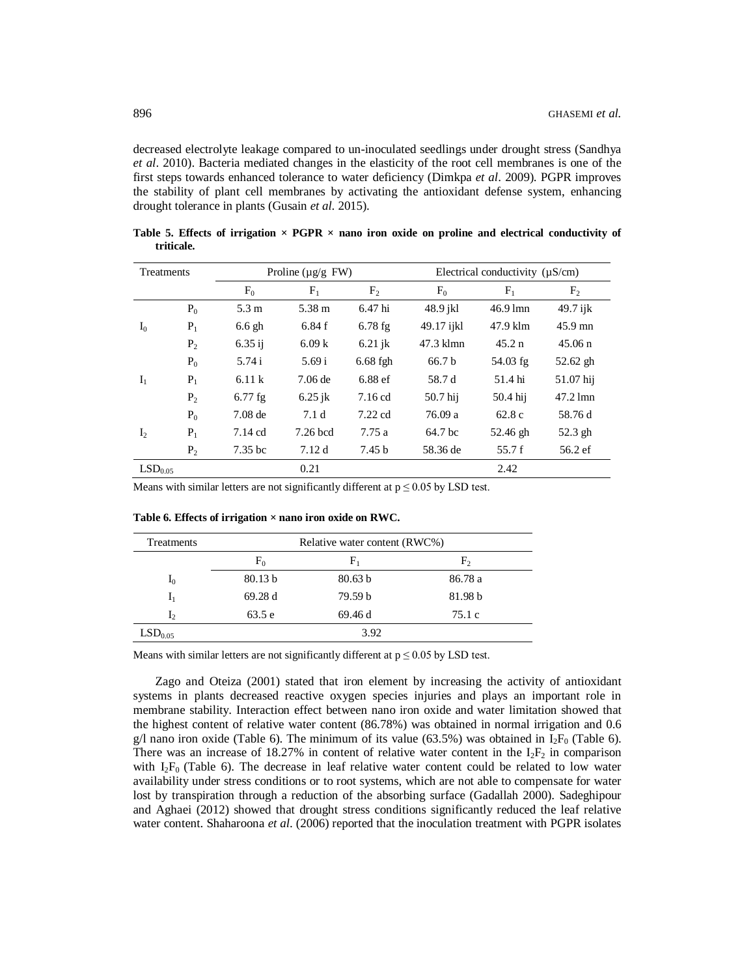decreased electrolyte leakage compared to un-inoculated seedlings under drought stress (Sandhya *et al*. 2010). Bacteria mediated changes in the elasticity of the root cell membranes is one of the first steps towards enhanced tolerance to water deficiency (Dimkpa *et al*. 2009). PGPR improves the stability of plant cell membranes by activating the antioxidant defense system, enhancing drought tolerance in plants (Gusain *et al*. 2015).

| Treatments          |                |                    | Proline ( $\mu$ g/g FW) |                   |                   | Electrical conductivity $(\mu S/cm)$ |                              |
|---------------------|----------------|--------------------|-------------------------|-------------------|-------------------|--------------------------------------|------------------------------|
|                     |                | $F_0$              | $F_1$                   | F <sub>2</sub>    | $F_0$             | $F_1$                                | F <sub>2</sub>               |
|                     | $P_0$          | 5.3 m              | 5.38 m                  | 6.47 hi           | 48.9 jkl          | $46.9$ lmn                           | $49.7$ ijk                   |
| I <sub>0</sub>      | $P_1$          | $6.6$ gh           | 6.84f                   | $6.78$ fg         | 49.17 ijkl        | 47.9 klm                             | $45.9$ mn                    |
|                     | P <sub>2</sub> | $6.35$ ij          | 6.09k                   | $6.21$ jk         | 47.3 klmn         | 45.2 n                               | $45.06 \text{ n}$            |
|                     | $P_0$          | 5.74 i             | 5.69 i                  | $6.68$ fgh        | 66.7 <sub>b</sub> | $54.03$ fg                           | $52.62$ gh                   |
| $I_1$               | $P_1$          | 6.11k              | $7.06$ de               | $6.88$ ef         | 58.7 d            | 51.4 hi                              | 51.07 hij                    |
|                     | $P_2$          | $6.77$ fg          | $6.25$ jk               | $7.16$ cd         | 50.7 hij          | 50.4 hij                             | $47.2 \text{ } \mathrm{lmn}$ |
|                     | $P_0$          | $7.08$ de          | 7.1 <sub>d</sub>        | $7.22$ cd         | 76.09 a           | 62.8c                                | 58.76 d                      |
| I <sub>2</sub>      | $P_1$          | $7.14$ cd          | $7.26$ bcd              | 7.75a             | 64.7 bc           | 52.46 gh                             | 52.3 gh                      |
|                     | $P_2$          | 7.35 <sub>bc</sub> | 7.12d                   | 7.45 <sub>b</sub> | 58.36 de          | 55.7 f                               | $56.2 \text{ ef}$            |
| LSD <sub>0.05</sub> |                |                    | 0.21                    |                   |                   | 2.42                                 |                              |

**Table 5. Effects of irrigation**  $\times$  **PGPR**  $\times$  **nano iron oxide on proline and electrical conductivity of triticale.**

Means with similar letters are not significantly different at  $p \le 0.05$  by LSD test.

| <b>Treatments</b>   |         | Relative water content (RWC%) |                |
|---------------------|---------|-------------------------------|----------------|
|                     | $F_0$   | ${\rm F_1}$                   | F <sub>2</sub> |
| $I_0$               | 80.13 b | 80.63 b                       | 86.78 a        |
| $I_1$               | 69.28d  | 79.59 <sub>b</sub>            | 81.98 b        |
| I <sub>2</sub>      | 63.5 e  | 69.46 d                       | 75.1c          |
| LSD <sub>0.05</sub> |         | 3.92                          |                |

**Table 6. Effects of irrigation × nano iron oxide on RWC.**

Means with similar letters are not significantly different at  $p \le 0.05$  by LSD test.

Zago and Oteiza (2001) stated that iron element by increasing the activity of antioxidant systems in plants decreased reactive oxygen species injuries and plays an important role in membrane stability. Interaction effect between nano iron oxide and water limitation showed that the highest content of relative water content (86.78%) was obtained in normal irrigation and 0.6 g/l nano iron oxide (Table 6). The minimum of its value (63.5%) was obtained in  $I_2F_0$  (Table 6). There was an increase of 18.27% in content of relative water content in the  $I_2F_2$  in comparison with  $I_2F_0$  (Table 6). The decrease in leaf relative water content could be related to low water availability under stress conditions or to root systems, which are not able to compensate for water lost by transpiration through a reduction of the absorbing surface (Gadallah 2000). Sadeghipour and Aghaei (2012) showed that drought stress conditions significantly reduced the leaf relative water content. Shaharoona *et al*. (2006) reported that the inoculation treatment with PGPR isolates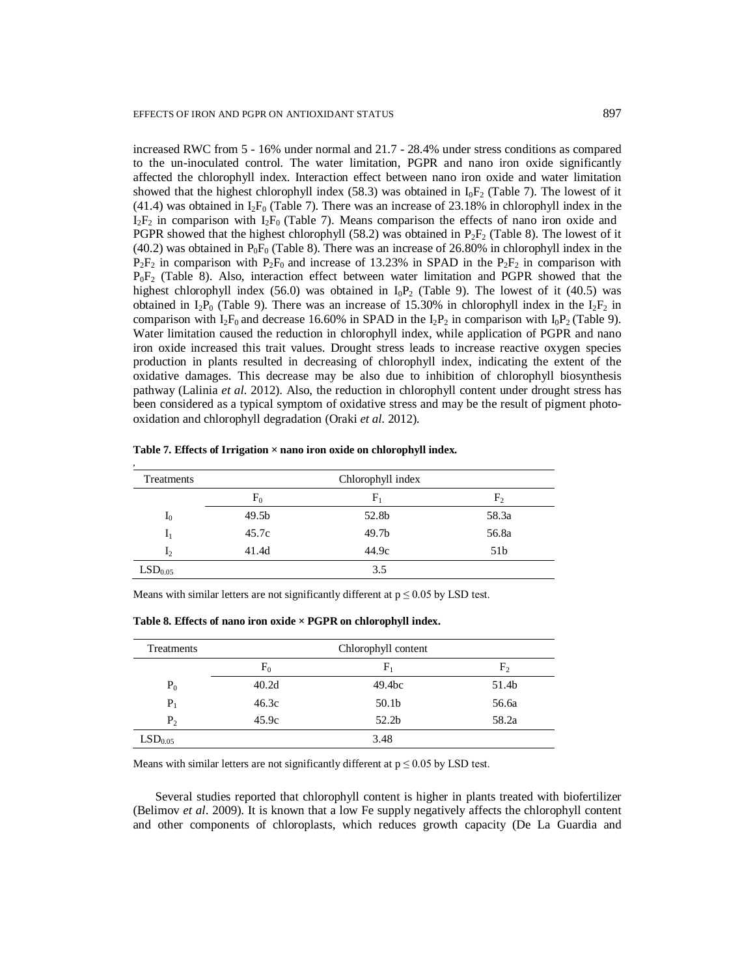increased RWC from 5 - 16% under normal and 21.7 - 28.4% under stress conditions as compared to the un-inoculated control. The water limitation, PGPR and nano iron oxide significantly affected the chlorophyll index. Interaction effect between nano iron oxide and water limitation showed that the highest chlorophyll index (58.3) was obtained in  $I_0F_2$  (Table 7). The lowest of it  $(41.4)$  was obtained in I<sub>2</sub>F<sub>0</sub> (Table 7). There was an increase of 23.18% in chlorophyll index in the  $I_2F_2$  in comparison with  $I_2F_0$  (Table 7). Means comparison the effects of nano iron oxide and PGPR showed that the highest chlorophyll (58.2) was obtained in  $P_2F_2$  (Table 8). The lowest of it (40.2) was obtained in  $P_0F_0$  (Table 8). There was an increase of 26.80% in chlorophyll index in the  $P_2F_2$  in comparison with  $P_2F_0$  and increase of 13.23% in SPAD in the  $P_2F_2$  in comparison with  $P_0F_2$  (Table 8). Also, interaction effect between water limitation and PGPR showed that the highest chlorophyll index (56.0) was obtained in  $I_0P_2$  (Table 9). The lowest of it (40.5) was obtained in I<sub>2</sub>P<sub>0</sub> (Table 9). There was an increase of 15.30% in chlorophyll index in the I<sub>2</sub>F<sub>2</sub> in comparison with  $I_2F_0$  and decrease 16.60% in SPAD in the  $I_2P_2$  in comparison with  $I_0P_2$  (Table 9). Water limitation caused the reduction in chlorophyll index, while application of PGPR and nano iron oxide increased this trait values. Drought stress leads to increase reactive oxygen species production in plants resulted in decreasing of chlorophyll index, indicating the extent of the oxidative damages. This decrease may be also due to inhibition of chlorophyll biosynthesis pathway (Lalinia *et al*. 2012). Also, the reduction in chlorophyll content under drought stress has been considered as a typical symptom of oxidative stress and may be the result of pigment photooxidation and chlorophyll degradation (Oraki *et al*. 2012).

| Treatments          |                   | Chlorophyll index |                 |
|---------------------|-------------------|-------------------|-----------------|
|                     | F <sub>0</sub>    | ${\rm F_1}$       | F <sub>2</sub>  |
| $I_0$               | 49.5 <sub>b</sub> | 52.8b             | 58.3a           |
| $I_1$               | 45.7c             | 49.7 <sub>b</sub> | 56.8a           |
| I <sub>2</sub>      | 41.4d             | 44.9c             | 51 <sub>b</sub> |
| LSD <sub>0.05</sub> |                   | 3.5               |                 |

**Table 7. Effects of Irrigation × nano iron oxide on chlorophyll index.**

Means with similar letters are not significantly different at  $p \le 0.05$  by LSD test.

| Treatments          |                   | Chlorophyll content |                |  |  |  |
|---------------------|-------------------|---------------------|----------------|--|--|--|
|                     | F <sub>0</sub>    | $F_1$               | F <sub>2</sub> |  |  |  |
| $P_0$               | 40.2 <sub>d</sub> | 49.4 <sub>bc</sub>  | 51.4b          |  |  |  |
| $P_1$               | 46.3c             | 50.1 <sub>b</sub>   | 56.6a          |  |  |  |
| P <sub>2</sub>      | 45.9c             | 52.2 <sub>b</sub>   | 58.2a          |  |  |  |
| LSD <sub>0.05</sub> |                   | 3.48                |                |  |  |  |

**Table 8. Effects of nano iron oxide × PGPR on chlorophyll index.**

Means with similar letters are not significantly different at  $p \le 0.05$  by LSD test.

Several studies reported that chlorophyll content is higher in plants treated with biofertilizer (Belimov *et al*. 2009). It is known that a low Fe supply negatively affects the chlorophyll content and other components of chloroplasts, which reduces growth capacity (De La Guardia and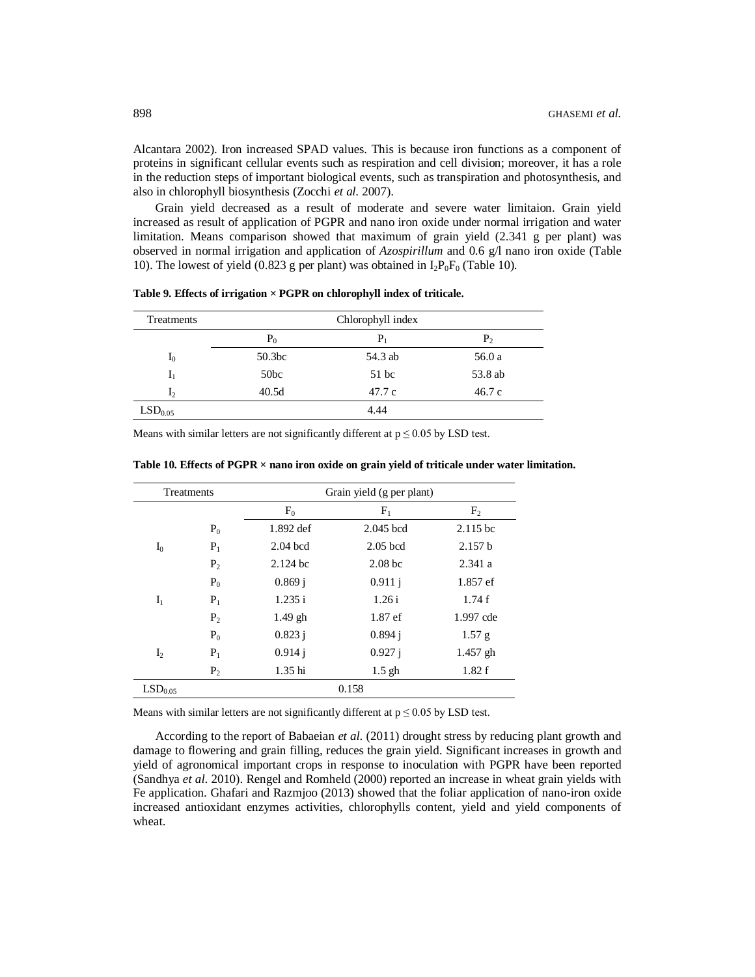Alcantara 2002). Iron increased SPAD values. This is because iron functions as a component of proteins in significant cellular events such as respiration and cell division; moreover, it has a role in the reduction steps of important biological events, such as transpiration and photosynthesis, and also in chlorophyll biosynthesis (Zocchi *et al*. 2007).

Grain yield decreased as a result of moderate and severe water limitaion. Grain yield increased as result of application of PGPR and nano iron oxide under normal irrigation and water limitation. Means comparison showed that maximum of grain yield (2.341 g per plant) was observed in normal irrigation and application of *Azospirillum* and 0.6 g/l nano iron oxide (Table 10). The lowest of yield (0.823 g per plant) was obtained in  $I_2P_0F_0$  (Table 10).

| Treatments          | Chlorophyll index  |         |         |  |  |
|---------------------|--------------------|---------|---------|--|--|
|                     | $P_0$              | $P_1$   | $P_2$   |  |  |
| $I_0$               | 50.3 <sub>bc</sub> | 54.3 ab | 56.0 a  |  |  |
| $I_1$               | 50bc               | $51$ bc | 53.8 ab |  |  |
| I <sub>2</sub>      | 40.5d              | 47.7c   | 46.7c   |  |  |
| LSD <sub>0.05</sub> |                    | 4.44    |         |  |  |

**Table 9. Effects of irrigation × PGPR on chlorophyll index of triticale.**

Means with similar letters are not significantly different at  $p \le 0.05$  by LSD test.

| Treatments          |                |            | Grain yield (g per plant) |                |  |
|---------------------|----------------|------------|---------------------------|----------------|--|
|                     |                | $F_0$      | $F_1$                     | F <sub>2</sub> |  |
|                     | $P_0$          | 1.892 def  | 2.045 bcd                 | $2.115$ bc     |  |
| $I_0$               | $P_1$          | $2.04$ bcd | $2.05$ bcd                | 2.157 b        |  |
|                     | P <sub>2</sub> | $2.124$ bc | 2.08 <sub>bc</sub>        | 2.341a         |  |
|                     | $P_0$          | 0.869j     | 0.911 i                   | 1.857 ef       |  |
| $I_1$               | $P_1$          | 1.235 i    | 1.26i                     | 1.74f          |  |
|                     | $P_2$          | $1.49$ gh  | 1.87 ef                   | 1.997 cde      |  |
|                     | $P_0$          | 0.823 i    | 0.894 i                   | 1.57 g         |  |
| I <sub>2</sub>      | $P_1$          | 0.914 i    | 0.927 i                   | $1.457$ gh     |  |
|                     | $P_2$          | $1.35$ hi  | $1.5$ gh                  | 1.82 f         |  |
| LSD <sub>0.05</sub> |                |            | 0.158                     |                |  |

**Table 10. Effects of PGPR × nano iron oxide on grain yield of triticale under water limitation.**

Means with similar letters are not significantly different at  $p \le 0.05$  by LSD test.

According to the report of Babaeian *et al*. (2011) drought stress by reducing plant growth and damage to flowering and grain filling, reduces the grain yield. Significant increases in growth and yield of agronomical important crops in response to inoculation with PGPR have been reported (Sandhya *et al*. 2010). Rengel and Romheld (2000) reported an increase in wheat grain yields with Fe application. Ghafari and Razmjoo (2013) showed that the foliar application of nano-iron oxide increased antioxidant enzymes activities, chlorophylls content, yield and yield components of wheat.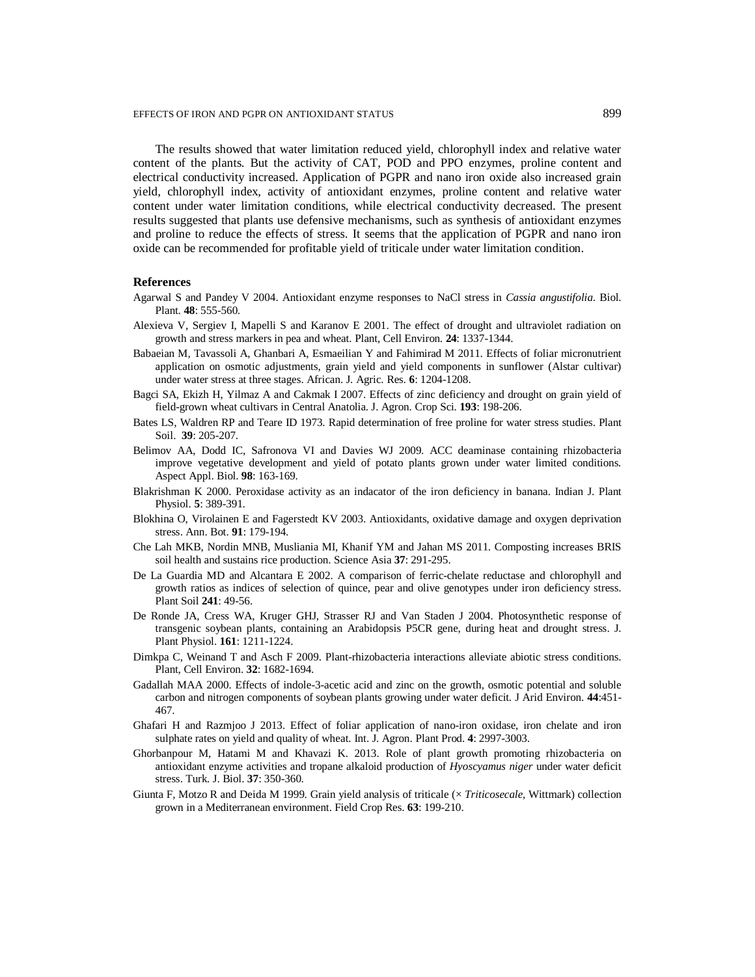The results showed that water limitation reduced yield, chlorophyll index and relative water content of the plants. But the activity of CAT, POD and PPO enzymes, proline content and electrical conductivity increased. Application of PGPR and nano iron oxide also increased grain yield, chlorophyll index, activity of antioxidant enzymes, proline content and relative water content under water limitation conditions, while electrical conductivity decreased. The present results suggested that plants use defensive mechanisms, such as synthesis of antioxidant enzymes and proline to reduce the effects of stress. It seems that the application of PGPR and nano iron oxide can be recommended for profitable yield of triticale under water limitation condition.

#### **References**

- Agarwal S and Pandey V 2004. Antioxidant enzyme responses to NaCl stress in *Cassia angustifolia*. Biol. Plant. **48**: 555-560.
- Alexieva V, Sergiev I, Mapelli S and Karanov E 2001. The effect of drought and ultraviolet radiation on growth and stress markers in pea and wheat. Plant, Cell Environ. **24**: 1337-1344.
- Babaeian M, Tavassoli A, Ghanbari A, Esmaeilian Y and Fahimirad M 2011. Effects of foliar micronutrient application on osmotic adjustments, grain yield and yield components in sunflower (Alstar cultivar) under water stress at three stages. African. J. Agric. Res. **6**: 1204-1208.
- Bagci SA, Ekizh H, Yilmaz A and Cakmak I 2007. Effects of zinc deficiency and drought on grain yield of field-grown wheat cultivars in Central Anatolia. J. Agron. Crop Sci. **193**: 198-206.
- Bates LS, Waldren RP and Teare ID 1973. Rapid determination of free proline for water stress studies. Plant Soil. **39**: 205-207.
- Belimov AA, Dodd IC, Safronova VI and Davies WJ 2009. ACC deaminase containing rhizobacteria improve vegetative development and yield of potato plants grown under water limited conditions*.*  Aspect Appl. Biol. **98**: 163-169.
- Blakrishman K 2000. Peroxidase activity as an indacator of the iron deficiency in banana. Indian J. Plant Physiol. **5**: 389-391.
- Blokhina O, Virolainen E and Fagerstedt KV 2003. Antioxidants, oxidative damage and oxygen deprivation stress. Ann. Bot. **91**: 179-194.
- Che Lah MKB, Nordin MNB, Musliania MI, Khanif YM and Jahan MS 2011. Composting increases BRIS soil health and sustains rice production. Science Asia **37**: 291-295.
- De La Guardia MD and Alcantara E 2002. A comparison of ferric-chelate reductase and chlorophyll and growth ratios as indices of selection of quince, pear and olive genotypes under iron deficiency stress. Plant Soil **241**: 49-56.
- De Ronde JA, Cress WA, Kruger GHJ, Strasser RJ and Van Staden J 2004. Photosynthetic response of transgenic soybean plants, containing an Arabidopsis P5CR gene, during heat and drought stress. J. Plant Physiol. **161**: 1211-1224.
- Dimkpa C, Weinand T and Asch F 2009. Plant-rhizobacteria interactions alleviate abiotic stress conditions. Plant, Cell Environ. **32**: 1682-1694.
- Gadallah MAA 2000. Effects of indole-3-acetic acid and zinc on the growth, osmotic potential and soluble carbon and nitrogen components of soybean plants growing under water deficit. J Arid Environ. **44**:451- 467.
- Ghafari H and Razmjoo J 2013. Effect of foliar application of nano-iron oxidase, iron chelate and iron sulphate rates on yield and quality of wheat. Int. J. Agron. Plant Prod. **4**: 2997-3003.
- Ghorbanpour M, Hatami M and Khavazi K. 2013. Role of plant growth promoting rhizobacteria on antioxidant enzyme activities and tropane alkaloid production of *Hyoscyamus niger* under water deficit stress. Turk. J. Biol. **37**: 350-360.
- Giunta F, Motzo R and Deida M 1999. Grain yield analysis of triticale (× *Triticosecale*, Wittmark) collection grown in a Mediterranean environment. Field Crop Res. **63**: 199-210.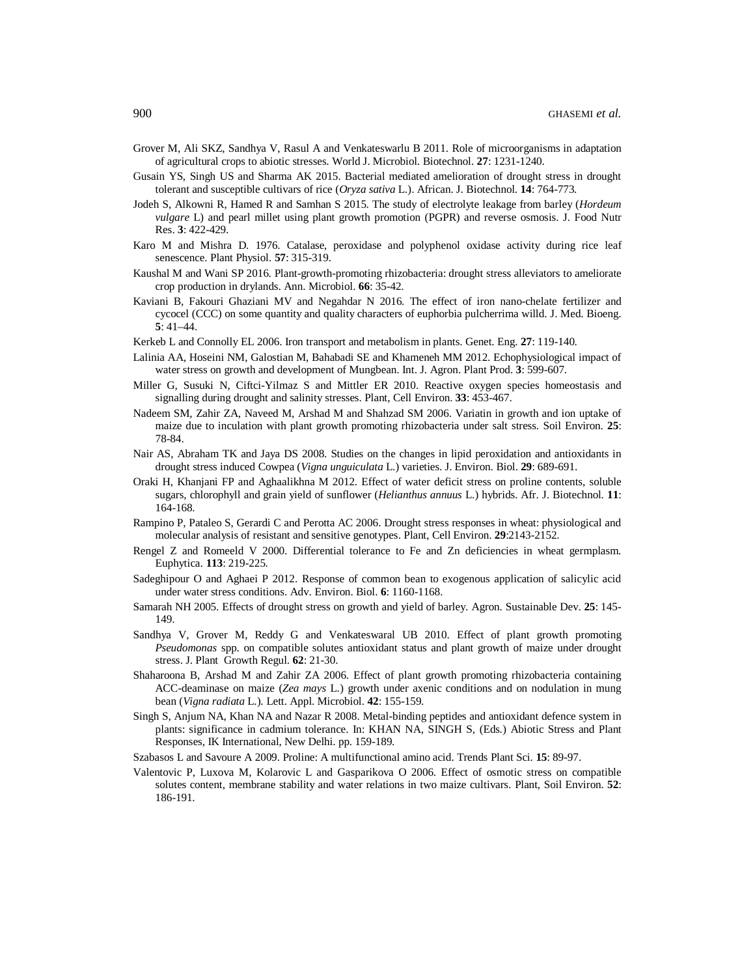- Grover M, Ali SKZ, Sandhya V, Rasul A and Venkateswarlu B 2011. Role of microorganisms in adaptation of agricultural crops to abiotic stresses. World J. Microbiol. Biotechnol. **27**: 1231-1240.
- Gusain YS, Singh US and Sharma AK 2015. Bacterial mediated amelioration of drought stress in drought tolerant and susceptible cultivars of rice (*Oryza sativa* L.). African. J. Biotechnol. **14**: 764-773.
- Jodeh S, Alkowni R, Hamed R and Samhan S 2015. The study of electrolyte leakage from barley (*Hordeum vulgare* L) and pearl millet using plant growth promotion (PGPR) and reverse osmosis. J. Food Nutr Res. **3**: 422-429.
- Karo M and Mishra D. 1976. Catalase, peroxidase and polyphenol oxidase activity during rice leaf senescence. Plant Physiol. **57**: 315-319.
- Kaushal M and Wani SP 2016. Plant-growth-promoting rhizobacteria: drought stress alleviators to ameliorate crop production in drylands. Ann. Microbiol. **66**: 35-42.
- Kaviani B, Fakouri Ghaziani MV and Negahdar N 2016. The effect of iron nano-chelate fertilizer and cycocel (CCC) on some quantity and quality characters of euphorbia pulcherrima willd. J. Med. Bioeng. **5**: 41–44.
- Kerkeb L and Connolly EL 2006. Iron transport and metabolism in plants. Genet. Eng. **27**: 119-140.
- Lalinia AA, Hoseini NM, Galostian M, Bahabadi SE and Khameneh MM 2012. Echophysiological impact of water stress on growth and development of Mungbean. Int. J. Agron. Plant Prod. **3**: 599-607.
- Miller G, Susuki N, Ciftci-Yilmaz S and Mittler ER 2010. Reactive oxygen species homeostasis and signalling during drought and salinity stresses. Plant, Cell Environ. **33**: 453-467.
- Nadeem SM, Zahir ZA, Naveed M, Arshad M and Shahzad SM 2006. Variatin in growth and ion uptake of maize due to inculation with plant growth promoting rhizobacteria under salt stress. Soil Environ. **25**: 78-84.
- Nair AS, Abraham TK and Jaya DS 2008. Studies on the changes in lipid peroxidation and antioxidants in drought stress induced Cowpea (*Vigna unguiculata* L.) varieties. J. Environ. Biol. **29**: 689-691.
- Oraki H, Khanjani FP and Aghaalikhna M 2012. Effect of water deficit stress on proline contents, soluble sugars, chlorophyll and grain yield of sunflower (*Helianthus annuus* L.) hybrids. Afr. J. Biotechnol. **11**: 164-168.
- Rampino P, Pataleo S, Gerardi C and Perotta AC 2006. Drought stress responses in wheat: physiological and molecular analysis of resistant and sensitive genotypes. Plant, Cell Environ. **29**:2143-2152.
- Rengel Z and Romeeld V 2000. Differential tolerance to Fe and Zn deficiencies in wheat germplasm. Euphytica. **113**: 219-225.
- Sadeghipour O and Aghaei P 2012. Response of common bean to exogenous application of salicylic acid under water stress conditions. Adv. Environ. Biol. **6**: 1160-1168.
- Samarah NH 2005. Effects of drought stress on growth and yield of barley. Agron. Sustainable Dev. **25**: 145- 149.
- Sandhya V, Grover M, Reddy G and Venkateswaral UB 2010. Effect of plant growth promoting *Pseudomonas* spp. on compatible solutes antioxidant status and plant growth of maize under drought stress. J. Plant Growth Regul. **62**: 21-30.
- Shaharoona B, Arshad M and Zahir ZA 2006. Effect of plant growth promoting rhizobacteria containing ACC-deaminase on maize (*Zea mays* L.) growth under axenic conditions and on nodulation in mung bean (*Vigna radiata* L.). Lett. Appl. Microbiol. **42**: 155-159.
- Singh S, Anjum NA, Khan NA and Nazar R 2008. Metal-binding peptides and antioxidant defence system in plants: significance in cadmium tolerance. In: KHAN NA, SINGH S, (Eds.) Abiotic Stress and Plant Responses, IK International, New Delhi. pp. 159-189.
- Szabasos L and Savoure A 2009. Proline: A multifunctional amino acid. Trends Plant Sci. **15**: 89-97.
- Valentovic P, Luxova M, Kolarovic L and Gasparikova O 2006. Effect of osmotic stress on compatible solutes content, membrane stability and water relations in two maize cultivars. Plant, Soil Environ. **52**: 186-191.